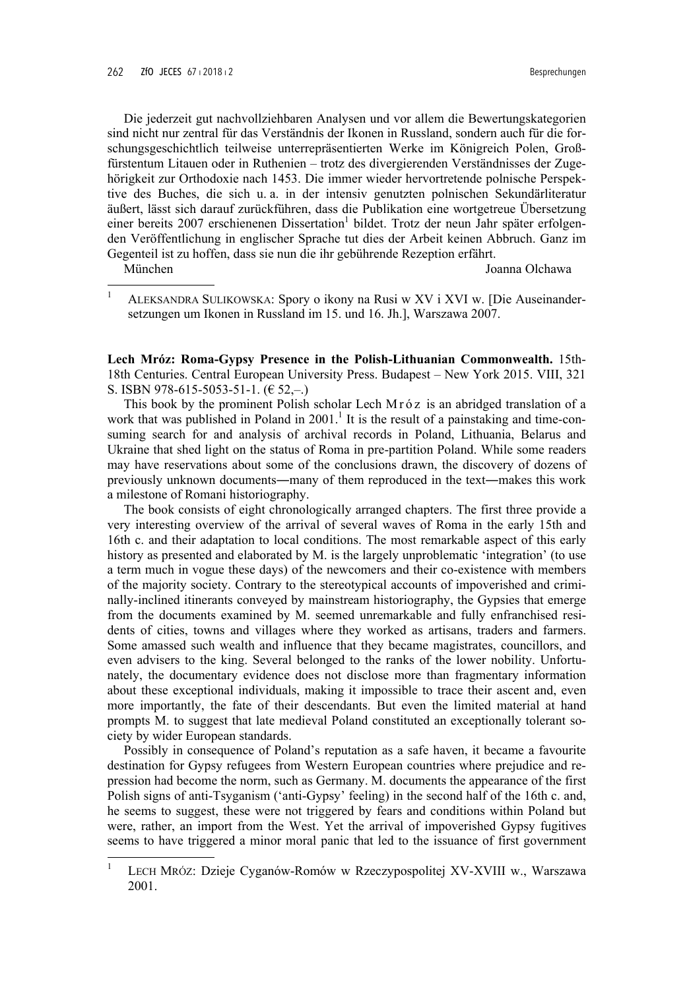Die jederzeit gut nachvollziehbaren Analysen und vor allem die Bewertungskategorien sind nicht nur zentral für das Verständnis der Ikonen in Russland, sondern auch für die forschungsgeschichtlich teilweise unterrepräsentierten Werke im Königreich Polen, Großfürstentum Litauen oder in Ruthenien – trotz des divergierenden Verständnisses der Zugehörigkeit zur Orthodoxie nach 1453. Die immer wieder hervortretende polnische Perspektive des Buches, die sich u. a. in der intensiv genutzten polnischen Sekundärliteratur äußert, lässt sich darauf zurückführen, dass die Publikation eine wortgetreue Übersetzung einer bereits 2007 erschienenen Dissertation<sup>1</sup> bildet. Trotz der neun Jahr später erfolgenden Veröffentlichung in englischer Sprache tut dies der Arbeit keinen Abbruch. Ganz im Gegenteil ist zu hoffen, dass sie nun die ihr gebührende Rezeption erfährt.

München

Joanna Olchawa

Lech Mróz: Roma-Gypsy Presence in the Polish-Lithuanian Commonwealth. 15th-18th Centuries. Central European University Press. Budapest - New York 2015. VIII, 321 S. ISBN 978-615-5053-51-1. ( $\in$  52,-.)

This book by the prominent Polish scholar Lech Mróz is an abridged translation of a work that was published in Poland in  $2001$ .<sup>1</sup> It is the result of a painstaking and time-consuming search for and analysis of archival records in Poland, Lithuania, Belarus and Ukraine that shed light on the status of Roma in pre-partition Poland. While some readers may have reservations about some of the conclusions drawn, the discovery of dozens of previously unknown documents—many of them reproduced in the text—makes this work a milestone of Romani historiography.

The book consists of eight chronologically arranged chapters. The first three provide a very interesting overview of the arrival of several waves of Roma in the early 15th and 16th c, and their adaptation to local conditions. The most remarkable aspect of this early history as presented and elaborated by M. is the largely unproblematic 'integration' (to use a term much in vogue these days) of the newcomers and their co-existence with members of the majority society. Contrary to the stereotypical accounts of impoverished and criminally-inclined itinerants conveyed by mainstream historiography, the Gypsies that emerge from the documents examined by M. seemed unremarkable and fully enfranchised residents of cities, towns and villages where they worked as artisans, traders and farmers. Some amassed such wealth and influence that they became magistrates, councillors, and even advisers to the king. Several belonged to the ranks of the lower nobility. Unfortunately, the documentary evidence does not disclose more than fragmentary information about these exceptional individuals, making it impossible to trace their ascent and, even more importantly, the fate of their descendants. But even the limited material at hand prompts M. to suggest that late medieval Poland constituted an exceptionally tolerant society by wider European standards.

Possibly in consequence of Poland's reputation as a safe haven, it became a favourite destination for Gypsy refugees from Western European countries where prejudice and repression had become the norm, such as Germany. M. documents the appearance of the first Polish signs of anti-Tsyganism ('anti-Gypsy' feeling) in the second half of the 16th c. and, he seems to suggest, these were not triggered by fears and conditions within Poland but were, rather, an import from the West. Yet the arrival of impoverished Gypsy fugitives seems to have triggered a minor moral panic that led to the issuance of first government

 $\mathbf{1}$ ALEKSANDRA SULIKOWSKA: Spory o ikony na Rusi w XV i XVI w. [Die Auseinandersetzungen um Ikonen in Russland im 15. und 16. Jh.], Warszawa 2007.

LECH MRÓZ: Dzieje Cyganów-Romów w Rzeczypospolitej XV-XVIII w., Warszawa 2001.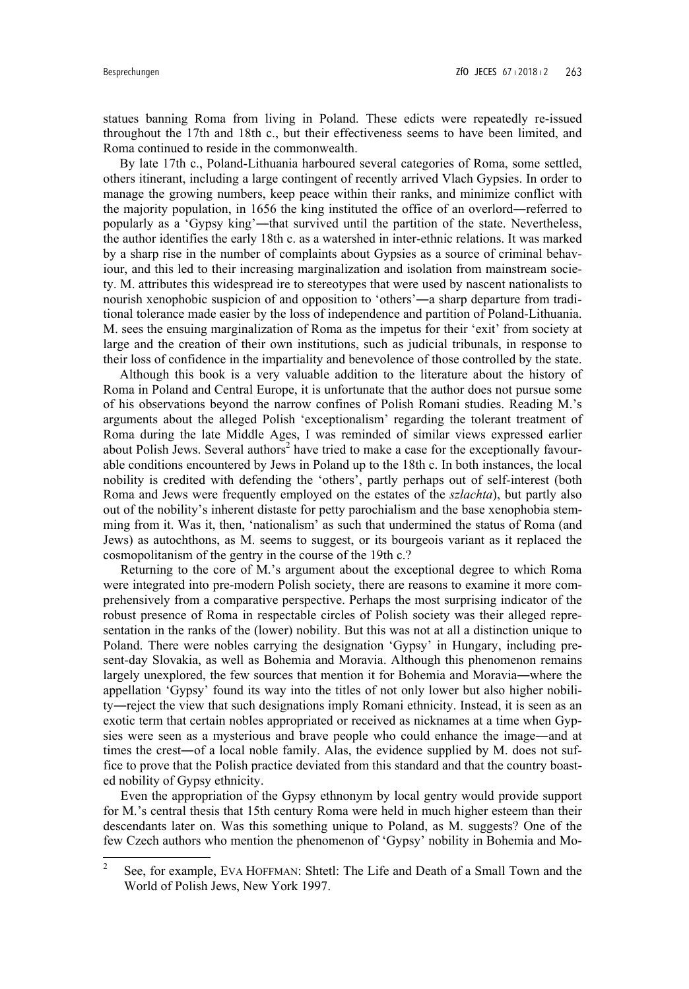statues banning Roma from living in Poland. These edicts were repeatedly re-issued throughout the 17th and 18th c., but their effectiveness seems to have been limited, and Roma continued to reside in the commonwealth.

By late 17th c., Poland-Lithuania harboured several categories of Roma, some settled, others itinerant, including a large contingent of recently arrived Vlach Gypsies. In order to manage the growing numbers, keep peace within their ranks, and minimize conflict with the majority population, in 1656 the king instituted the office of an overlord―referred to popularly as a 'Gypsy king'―that survived until the partition of the state. Nevertheless, the author identifies the early 18th c. as a watershed in inter-ethnic relations. It was marked by a sharp rise in the number of complaints about Gypsies as a source of criminal behaviour, and this led to their increasing marginalization and isolation from mainstream society. M. attributes this widespread ire to stereotypes that were used by nascent nationalists to nourish xenophobic suspicion of and opposition to 'others'―a sharp departure from traditional tolerance made easier by the loss of independence and partition of Poland-Lithuania. M. sees the ensuing marginalization of Roma as the impetus for their 'exit' from society at large and the creation of their own institutions, such as judicial tribunals, in response to their loss of confidence in the impartiality and benevolence of those controlled by the state.

Although this book is a very valuable addition to the literature about the history of Roma in Poland and Central Europe, it is unfortunate that the author does not pursue some of his observations beyond the narrow confines of Polish Romani studies. Reading M.'s arguments about the alleged Polish 'exceptionalism' regarding the tolerant treatment of Roma during the late Middle Ages, I was reminded of similar views expressed earlier about Polish Jews. Several authors<sup>2</sup> have tried to make a case for the exceptionally favourable conditions encountered by Jews in Poland up to the 18th c. In both instances, the local nobility is credited with defending the 'others', partly perhaps out of self-interest (both Roma and Jews were frequently employed on the estates of the *szlachta*), but partly also out of the nobility's inherent distaste for petty parochialism and the base xenophobia stemming from it. Was it, then, 'nationalism' as such that undermined the status of Roma (and Jews) as autochthons, as M. seems to suggest, or its bourgeois variant as it replaced the cosmopolitanism of the gentry in the course of the 19th c.?

 Returning to the core of M.'s argument about the exceptional degree to which Roma were integrated into pre-modern Polish society, there are reasons to examine it more comprehensively from a comparative perspective. Perhaps the most surprising indicator of the robust presence of Roma in respectable circles of Polish society was their alleged representation in the ranks of the (lower) nobility. But this was not at all a distinction unique to Poland. There were nobles carrying the designation 'Gypsy' in Hungary, including present-day Slovakia, as well as Bohemia and Moravia. Although this phenomenon remains largely unexplored, the few sources that mention it for Bohemia and Moravia―where the appellation 'Gypsy' found its way into the titles of not only lower but also higher nobility―reject the view that such designations imply Romani ethnicity. Instead, it is seen as an exotic term that certain nobles appropriated or received as nicknames at a time when Gypsies were seen as a mysterious and brave people who could enhance the image―and at times the crest―of a local noble family. Alas, the evidence supplied by M. does not suffice to prove that the Polish practice deviated from this standard and that the country boasted nobility of Gypsy ethnicity.

 Even the appropriation of the Gypsy ethnonym by local gentry would provide support for M.'s central thesis that 15th century Roma were held in much higher esteem than their descendants later on. Was this something unique to Poland, as M. suggests? One of the few Czech authors who mention the phenomenon of 'Gypsy' nobility in Bohemia and Mo-

<sup>&</sup>lt;sup>2</sup> See, for example, EVA HOFFMAN: Shtetl: The Life and Death of a Small Town and the World of Polish Jews, New York 1997.